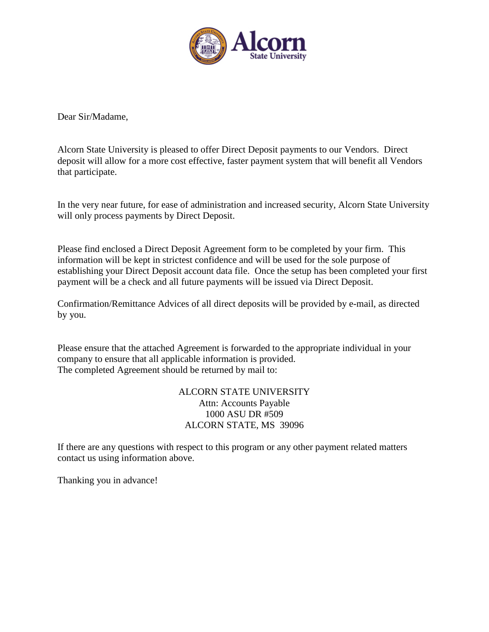

Dear Sir/Madame,

Alcorn State University is pleased to offer Direct Deposit payments to our Vendors. Direct deposit will allow for a more cost effective, faster payment system that will benefit all Vendors that participate.

In the very near future, for ease of administration and increased security, Alcorn State University will only process payments by Direct Deposit.

Please find enclosed a Direct Deposit Agreement form to be completed by your firm. This information will be kept in strictest confidence and will be used for the sole purpose of establishing your Direct Deposit account data file. Once the setup has been completed your first payment will be a check and all future payments will be issued via Direct Deposit.

Confirmation/Remittance Advices of all direct deposits will be provided by e-mail, as directed by you.

Please ensure that the attached Agreement is forwarded to the appropriate individual in your company to ensure that all applicable information is provided. The completed Agreement should be returned by mail to:

## ALCORN STATE UNIVERSITY Attn: Accounts Payable 1000 ASU DR #509 ALCORN STATE, MS 39096

If there are any questions with respect to this program or any other payment related matters contact us using information above.

Thanking you in advance!